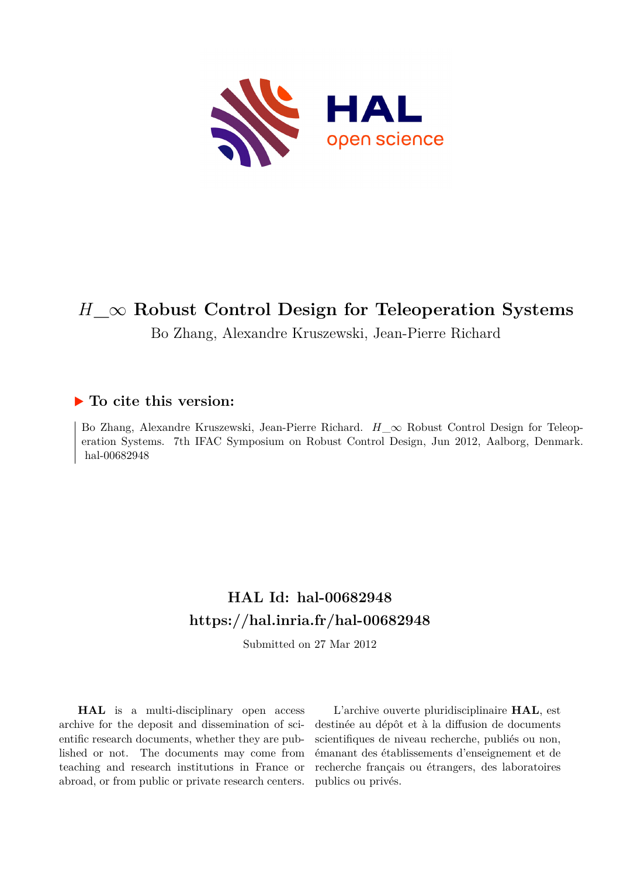

# *H***\_***∞* **Robust Control Design for Teleoperation Systems**

Bo Zhang, Alexandre Kruszewski, Jean-Pierre Richard

# **To cite this version:**

Bo Zhang, Alexandre Kruszewski, Jean-Pierre Richard. *H*<sub> $\infty$ </sub> Robust Control Design for Teleoperation Systems. 7th IFAC Symposium on Robust Control Design, Jun 2012, Aalborg, Denmark. hal-00682948

# **HAL Id: hal-00682948 <https://hal.inria.fr/hal-00682948>**

Submitted on 27 Mar 2012

**HAL** is a multi-disciplinary open access archive for the deposit and dissemination of scientific research documents, whether they are published or not. The documents may come from teaching and research institutions in France or abroad, or from public or private research centers.

L'archive ouverte pluridisciplinaire **HAL**, est destinée au dépôt et à la diffusion de documents scientifiques de niveau recherche, publiés ou non, émanant des établissements d'enseignement et de recherche français ou étrangers, des laboratoires publics ou privés.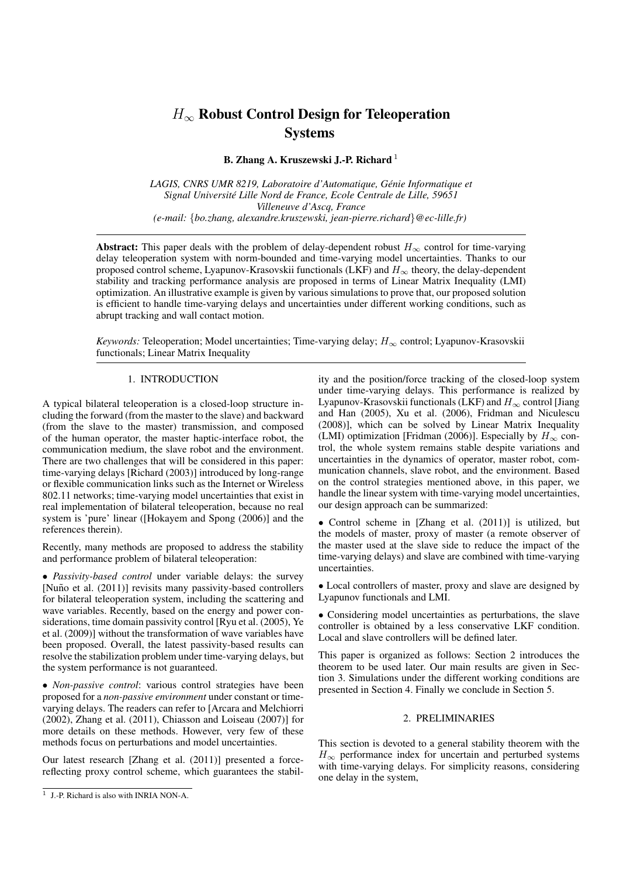# $H_{\infty}$  Robust Control Design for Teleoperation **Systems**

B. Zhang A. Kruszewski J.-P. Richard<sup>1</sup>

*LAGIS, CNRS UMR 8219, Laboratoire d'Automatique, Genie Informatique et ´ Signal Universite Lille Nord de France, Ecole Centrale de Lille, 59651 ´ Villeneuve d'Ascq, France (e-mail:* {*bo.zhang, alexandre.kruszewski, jean-pierre.richard*}*@ec-lille.fr)*

Abstract: This paper deals with the problem of delay-dependent robust  $H_{\infty}$  control for time-varying delay teleoperation system with norm-bounded and time-varying model uncertainties. Thanks to our proposed control scheme, Lyapunov-Krasovskii functionals (LKF) and  $H_{\infty}$  theory, the delay-dependent stability and tracking performance analysis are proposed in terms of Linear Matrix Inequality (LMI) optimization. An illustrative example is given by various simulations to prove that, our proposed solution is efficient to handle time-varying delays and uncertainties under different working conditions, such as abrupt tracking and wall contact motion.

*Keywords:* Teleoperation; Model uncertainties; Time-varying delay;  $H_{\infty}$  control; Lyapunov-Krasovskii functionals; Linear Matrix Inequality

#### 1. INTRODUCTION

A typical bilateral teleoperation is a closed-loop structure including the forward (from the master to the slave) and backward (from the slave to the master) transmission, and composed of the human operator, the master haptic-interface robot, the communication medium, the slave robot and the environment. There are two challenges that will be considered in this paper: time-varying delays [Richard (2003)] introduced by long-range or flexible communication links such as the Internet or Wireless 802.11 networks; time-varying model uncertainties that exist in real implementation of bilateral teleoperation, because no real system is 'pure' linear ([Hokayem and Spong (2006)] and the references therein).

Recently, many methods are proposed to address the stability and performance problem of bilateral teleoperation:

• *Passivity-based control* under variable delays: the survey [Nuño et al. (2011)] revisits many passivity-based controllers for bilateral teleoperation system, including the scattering and wave variables. Recently, based on the energy and power considerations, time domain passivity control [Ryu et al. (2005), Ye et al. (2009)] without the transformation of wave variables have been proposed. Overall, the latest passivity-based results can resolve the stabilization problem under time-varying delays, but the system performance is not guaranteed.

• *Non-passive control*: various control strategies have been proposed for a *non-passive environment* under constant or timevarying delays. The readers can refer to [Arcara and Melchiorri (2002), Zhang et al. (2011), Chiasson and Loiseau (2007)] for more details on these methods. However, very few of these methods focus on perturbations and model uncertainties.

Our latest research [Zhang et al. (2011)] presented a forcereflecting proxy control scheme, which guarantees the stability and the position/force tracking of the closed-loop system under time-varying delays. This performance is realized by Lyapunov-Krasovskii functionals (LKF) and  $H_{\infty}$  control [Jiang and Han (2005), Xu et al. (2006), Fridman and Niculescu (2008)], which can be solved by Linear Matrix Inequality (LMI) optimization [Fridman (2006)]. Especially by  $H_{\infty}$  control, the whole system remains stable despite variations and uncertainties in the dynamics of operator, master robot, communication channels, slave robot, and the environment. Based on the control strategies mentioned above, in this paper, we handle the linear system with time-varying model uncertainties, our design approach can be summarized:

• Control scheme in [Zhang et al. (2011)] is utilized, but the models of master, proxy of master (a remote observer of the master used at the slave side to reduce the impact of the time-varying delays) and slave are combined with time-varying uncertainties.

• Local controllers of master, proxy and slave are designed by Lyapunov functionals and LMI.

• Considering model uncertainties as perturbations, the slave controller is obtained by a less conservative LKF condition. Local and slave controllers will be defined later.

This paper is organized as follows: Section 2 introduces the theorem to be used later. Our main results are given in Section 3. Simulations under the different working conditions are presented in Section 4. Finally we conclude in Section 5.

#### 2. PRELIMINARIES

This section is devoted to a general stability theorem with the  $H_{\infty}$  performance index for uncertain and perturbed systems with time-varying delays. For simplicity reasons, considering one delay in the system,

<sup>1</sup> J.-P. Richard is also with INRIA NON-A.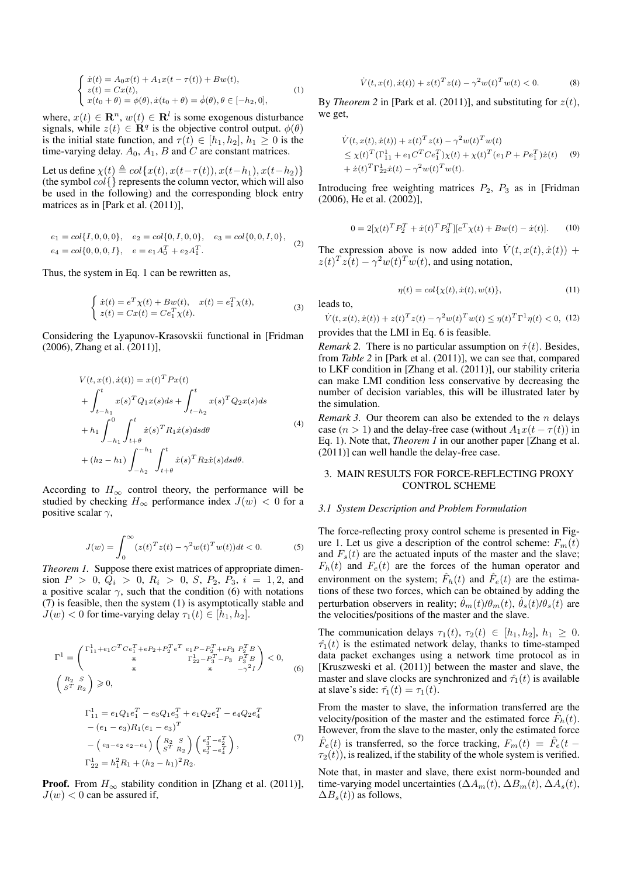$$
\begin{cases}\n\dot{x}(t) = A_0 x(t) + A_1 x(t - \tau(t)) + Bw(t), \\
z(t) = Cx(t), \\
x(t_0 + \theta) = \phi(\theta), \dot{x}(t_0 + \theta) = \dot{\phi}(\theta), \theta \in [-h_2, 0],\n\end{cases}
$$
\n(1)

where,  $x(t) \in \mathbb{R}^n$ ,  $w(t) \in \mathbb{R}^l$  is some exogenous disturbance signals, while  $z(t) \in \mathbf{R}^q$  is the objective control output.  $\phi(\theta)$ is the initial state function, and  $\tau(t) \in [h_1, h_2], h_1 \geq 0$  is the time-varying delay.  $A_0$ ,  $A_1$ ,  $B$  and  $C$  are constant matrices.

Let us define  $\chi(t) \triangleq col\{x(t), x(t-\tau(t)), x(t-h_1), x(t-h_2)\}$ (the symbol  $col\{\}$  represents the column vector, which will also be used in the following) and the corresponding block entry matrices as in [Park et al. (2011)],

$$
e_1 = col\{I, 0, 0, 0\}, \quad e_2 = col\{0, I, 0, 0\}, \quad e_3 = col\{0, 0, I, 0\},
$$
  

$$
e_4 = col\{0, 0, 0, I\}, \quad e = e_1 A_0^T + e_2 A_1^T.
$$
 (2)

Thus, the system in Eq. 1 can be rewritten as,

$$
\begin{cases} \n\dot{x}(t) = e^T \chi(t) + Bw(t), & x(t) = e_1^T \chi(t), \\ \nz(t) = Cx(t) = Ce_1^T \chi(t). \n\end{cases} \n\tag{3}
$$

Considering the Lyapunov-Krasovskii functional in [Fridman (2006), Zhang et al. (2011)],

$$
V(t, x(t), \dot{x}(t)) = x(t)^{T} P x(t)
$$
  
+  $\int_{t-h_1}^{t} x(s)^{T} Q_{1} x(s) ds + \int_{t-h_2}^{t} x(s)^{T} Q_{2} x(s) ds$   
+  $h_1 \int_{-h_1}^{0} \int_{t+\theta}^{t} \dot{x}(s)^{T} R_{1} \dot{x}(s) ds d\theta$   
+  $(h_2 - h_1) \int_{-h_2}^{-h_1} \int_{t+\theta}^{t} \dot{x}(s)^{T} R_{2} \dot{x}(s) ds d\theta$ . (4)

According to  $H_{\infty}$  control theory, the performance will be studied by checking  $H_{\infty}$  performance index  $J(w) < 0$  for a positive scalar  $\gamma$ ,

$$
J(w) = \int_0^{\infty} (z(t)^T z(t) - \gamma^2 w(t)^T w(t)) dt < 0.
$$
 (5)

*Theorem 1.* Suppose there exist matrices of appropriate dimension  $P > 0$ ,  $Q_i > 0$ ,  $R_i > 0$ ,  $S$ ,  $P_2$ ,  $P_3$ ,  $i = 1, 2$ , and a positive scalar  $\gamma$ , such that the condition (6) with notations (7) is feasible, then the system (1) is asymptotically stable and  $J(w) < 0$  for time-varying delay  $\tau_1(t) \in [h_1, h_2]$ .

$$
\Gamma^{1} = \begin{pmatrix} \Gamma_{11}^{1} + e_{1} C^{T} C e_{1}^{T} + e_{2} + P_{2}^{T} e^{T} & e_{1} P - P_{2}^{T} + e_{2} P_{3} & P_{2}^{T} B \\ * & \Gamma_{22}^{1} - P_{3}^{T} - P_{3} & P_{3}^{T} B \\ * & * & * & -\gamma^{2} I \end{pmatrix} < 0,
$$
\n
$$
\begin{pmatrix} R_{2} & S \\ S^{T} & R_{2} \end{pmatrix} \geq 0,
$$
\n
$$
(6)
$$

$$
\Gamma_{11}^{1} = e_1 Q_1 e_1^T - e_3 Q_1 e_3^T + e_1 Q_2 e_1^T - e_4 Q_2 e_4^T
$$
  
\n
$$
- (e_1 - e_3) R_1 (e_1 - e_3)^T
$$
  
\n
$$
- (e_3 - e_2 e_2 - e_4) \left( \frac{R_2}{S^T} \frac{S}{R_2} \right) \left( \frac{e_3^T - e_2^T}{e_2^T - e_4^T} \right),
$$
  
\n
$$
\Gamma_{22}^{1} = h_1^2 R_1 + (h_2 - h_1)^2 R_2.
$$
\n(7)

**Proof.** From  $H_{\infty}$  stability condition in [Zhang et al. (2011)],  $J(w)$  < 0 can be assured if,

$$
\dot{V}(t, x(t), \dot{x}(t)) + z(t)^T z(t) - \gamma^2 w(t)^T w(t) < 0.
$$
 (8)

By *Theorem* 2 in [Park et al. (2011)], and substituting for  $z(t)$ , we get,

$$
\dot{V}(t, x(t), \dot{x}(t)) + z(t)^{T} z(t) - \gamma^{2} w(t)^{T} w(t) \n\leq \chi(t)^{T} (\Gamma_{11}^{1} + e_{1} C^{T} C e_{1}^{T}) \chi(t) + \chi(t)^{T} (e_{1} P + P e_{1}^{T}) \dot{x}(t) \n+ \dot{x}(t)^{T} \Gamma_{22}^{1} \dot{x}(t) - \gamma^{2} w(t)^{T} w(t).
$$
\n(9)

Introducing free weighting matrices  $P_2$ ,  $P_3$  as in [Fridman (2006), He et al. (2002)],

$$
0 = 2[\chi(t)^T P_2^T + \dot{x}(t)^T P_3^T][e^T \chi(t) + Bw(t) - \dot{x}(t)].
$$
 (10)

The expression above is now added into  $\dot{V}(t, x(t), \dot{x}(t))$  +  $z(t)^T z(t) - \gamma^2 w(t)^T w(t)$ , and using notation,

$$
\eta(t) = col\{\chi(t), \dot{x}(t), w(t)\},\tag{11}
$$

leads to,

$$
\dot{V}(t, x(t), \dot{x}(t)) + z(t)^T z(t) - \gamma^2 w(t)^T w(t) \le \eta(t)^T \Gamma^1 \eta(t) < 0, \tag{12}
$$

provides that the LMI in Eq. 6 is feasible.

*Remark 2.* There is no particular assumption on  $\dot{\tau}(t)$ . Besides, from *Table 2* in [Park et al. (2011)], we can see that, compared to LKF condition in [Zhang et al. (2011)], our stability criteria can make LMI condition less conservative by decreasing the number of decision variables, this will be illustrated later by the simulation.

*Remark 3.* Our theorem can also be extended to the *n* delays case (n > 1) and the delay-free case (without  $A_1x(t - \tau(t))$  in Eq. 1). Note that, *Theorem 1* in our another paper [Zhang et al. (2011)] can well handle the delay-free case.

## 3. MAIN RESULTS FOR FORCE-REFLECTING PROXY CONTROL SCHEME

#### *3.1 System Description and Problem Formulation*

The force-reflecting proxy control scheme is presented in Figure 1. Let us give a description of the control scheme:  $F_m(t)$ and  $F_s(t)$  are the actuated inputs of the master and the slave;  $F_h(t)$  and  $F_e(t)$  are the forces of the human operator and environment on the system;  $\hat{F}_h(t)$  and  $\hat{F}_e(t)$  are the estimations of these two forces, which can be obtained by adding the perturbation observers in reality;  $\dot{\theta}_m(t)/\theta_m(t)$ ,  $\dot{\theta}_s(t)/\theta_s(t)$  are the velocities/positions of the master and the slave.

The communication delays  $\tau_1(t)$ ,  $\tau_2(t) \in [h_1, h_2], h_1 \geq 0$ .  $\hat{\tau}_1(t)$  is the estimated network delay, thanks to time-stamped data packet exchanges using a network time protocol as in [Kruszweski et al. (2011)] between the master and slave, the master and slave clocks are synchronized and  $\hat{\tau}_1(t)$  is available at slave's side:  $\hat{\tau}_1(t) = \tau_1(t)$ .

From the master to slave, the information transferred are the velocity/position of the master and the estimated force  $\hat{F}_h(t)$ . However, from the slave to the master, only the estimated force  $\hat{F}_e(t)$  is transferred, so the force tracking,  $F_m(t) = \hat{F}_e(t - t)$  $\tau_2(t)$ , is realized, if the stability of the whole system is verified.

Note that, in master and slave, there exist norm-bounded and time-varying model uncertainties ( $\Delta A_m(t)$ ,  $\Delta B_m(t)$ ,  $\Delta A_s(t)$ ,  $\Delta B_s(t)$ ) as follows,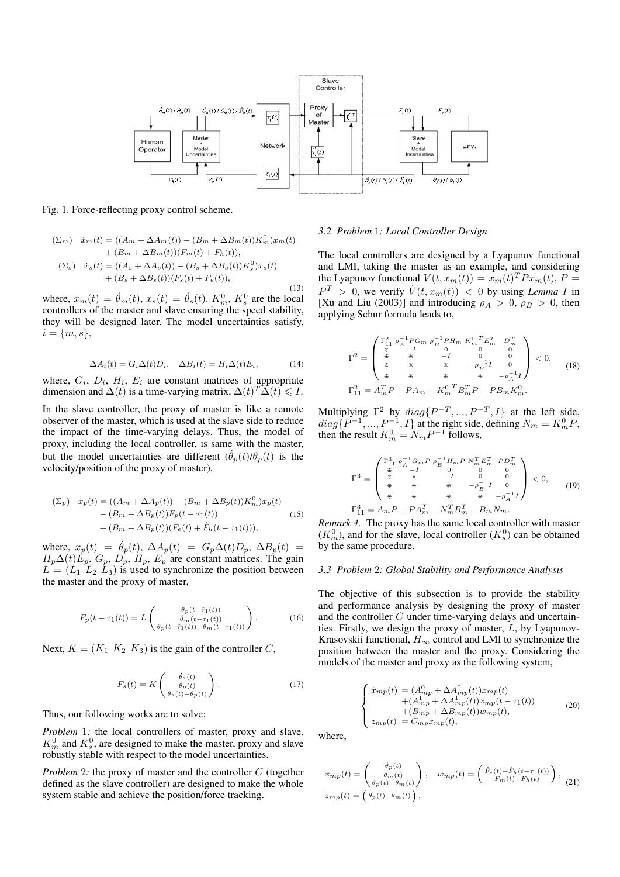

Fig. 1. Force-reflecting proxy control scheme.

$$
\begin{aligned} (\Sigma_m) \quad \dot{x}_m(t) &= ((A_m + \Delta A_m(t)) - (B_m + \Delta B_m(t))K_m^0)x_m(t) \\ &+ (B_m + \Delta B_m(t))(F_m(t) + F_h(t)), \\ (\Sigma_s) \quad \dot{x}_s(t) &= ((A_s + \Delta A_s(t)) - (B_s + \Delta B_s(t))K_s^0)x_s(t) \\ &+ (B_s + \Delta B_s(t))(F_s(t) + F_e(t)), \end{aligned}
$$

(13) where,  $x_m(t) = \dot{\theta}_m(t)$ ,  $x_s(t) = \dot{\theta}_s(t)$ .  $K_m^0$ ,  $K_s^0$  are the local controllers of the master and slave ensuring the speed stability, they will be designed later. The model uncertainties satisfy,  $i = \{m, s\},\$ 

$$
\Delta A_i(t) = G_i \Delta(t) D_i, \quad \Delta B_i(t) = H_i \Delta(t) E_i,
$$
\n(14)

where,  $G_i$ ,  $D_i$ ,  $H_i$ ,  $E_i$  are constant matrices of appropriate dimension and  $\Delta(t)$  is a time-varying matrix,  $\Delta(t)^T \widetilde{\Delta}(t) \leq 1$ .

In the slave controller, the proxy of master is like a remote observer of the master, which is used at the slave side to reduce the impact of the time-varying delays. Thus, the model of proxy, including the local controller, is same with the master, but the model uncertainties are different  $(\theta_p(t)/\theta_p(t))$  is the velocity/position of the proxy of master),

$$
\begin{aligned} (\Sigma_p) \quad \dot{x}_p(t) &= ((A_m + \Delta A_p(t)) - (B_m + \Delta B_p(t))K_m^0)x_p(t) \\ &- (B_m + \Delta B_p(t))F_p(t - \tau_1(t)) \\ &+ (B_m + \Delta B_p(t))(\hat{F}_e(t) + \hat{F}_h(t - \tau_1(t))), \end{aligned} \tag{15}
$$

where,  $x_p(t) = \dot{\theta}_p(t)$ ,  $\Delta A_p(t) = G_p \Delta(t) D_p$ ,  $\Delta B_p(t) =$  $H_p\Delta(t)\dot{E}_p$ .  $G_p$ ,  $D_p$ ,  $H_p$ ,  $E_p$  are constant matrices. The gain  $L = (L_1 \ L_2 \ L_3)$  is used to synchronize the position between the master and the proxy of master,

$$
F_p(t - \tau_1(t)) = L \begin{pmatrix} \dot{\theta}_p(t - \hat{\tau}_1(t)) \\ \dot{\theta}_m(t - \tau_1(t)) \\ \theta_p(t - \hat{\tau}_1(t)) - \theta_m(t - \tau_1(t)) \end{pmatrix} . \tag{16}
$$

Next,  $K = (K_1 \ K_2 \ K_3)$  is the gain of the controller C,

$$
F_s(t) = K \begin{pmatrix} \dot{\theta}_s(t) \\ \dot{\theta}_p(t) \\ \theta_s(t) - \theta_p(t) \end{pmatrix} . \tag{17}
$$

Thus, our following works are to solve:

*Problem* 1*:* the local controllers of master, proxy and slave,  $K_m^0$  and  $K_s^0$ , are designed to make the master, proxy and slave robustly stable with respect to the model uncertainties.

*Problem* 2*:* the proxy of master and the controller C (together defined as the slave controller) are designed to make the whole system stable and achieve the position/force tracking.

#### *3.2 Problem* 1*: Local Controller Design*

The local controllers are designed by a Lyapunov functional and LMI, taking the master as an example, and considering the Lyapunov functional  $V(t, x_m(t)) = x_m(t)^T P x_m(t)$ ,  $P =$  $P^T > 0$ , we verify  $\dot{V}(t, x_m(t)) < 0$  by using *Lemma 1* in [Xu and Liu (2003)] and introducing  $\rho_A > 0$ ,  $\rho_B > 0$ , then applying Schur formula leads to,

$$
\Gamma^2 = \begin{pmatrix}\n\Gamma_{11}^2 \rho_A^{-1} P G_m \rho_B^{-1} P H_m K_m^{0 T} E_m^T & D_m^T \\
\ast & -I & 0 & 0 \\
\ast & \ast & -I & 0 & 0 \\
\ast & \ast & \ast & -\rho_B^{-1} I & 0 \\
\ast & \ast & \ast & \ast & -\rho_A^{-1} I\n\end{pmatrix} < 0, \tag{18}
$$
\n
$$
\Gamma_{11}^2 = A_m^T P + P A_m - K_m^{0 T} B_m^T P - P B_m K_m^0.
$$

Multiplying  $\Gamma^2$  by  $diag\{P^{-T}, ..., P^{-T}, I\}$  at the left side,  $diag\{P^{-1},...,P^{-1},I\}$  at the right side, defining  $N_m = K_m^0 P$ , then the result  $K_m^0 = N_m P^{-1}$  follows,

$$
\Gamma^3 = \begin{pmatrix}\n\Gamma_{11}^3 \rho_A^{-1} G_m P \rho_B^{-1} H_m P N_m^T E_m^T \quad P D_m^T \\
* & -I & 0 & 0 \\
* & * & -I & 0 & 0 \\
* & * & * & -\rho_B^{-1} I & 0 \\
* & * & * & * & -\rho_A^{-1} I\n\end{pmatrix} < 0, \tag{19}
$$
\n
$$
\Gamma_{11}^3 = A_m P + P A_m^T - N_m^T B_m^T - B_m N_m.
$$

*Remark 4.* The proxy has the same local controller with master  $(K_m^0)$ , and for the slave, local controller  $(K_s^0)$  can be obtained by the same procedure.

### *3.3 Problem* 2*: Global Stability and Performance Analysis*

The objective of this subsection is to provide the stability and performance analysis by designing the proxy of master and the controller C under time-varying delays and uncertainties. Firstly, we design the proxy of master, L, by Lyapunov-Krasovskii functional,  $H_{\infty}$  control and LMI to synchronize the position between the master and the proxy. Considering the models of the master and proxy as the following system,

$$
\begin{cases}\n\dot{x}_{mp}(t) = (A_{mp}^{0} + \Delta A_{mp}^{0}(t))x_{mp}(t) \\
+ (A_{mp}^{1} + \Delta A_{mp}^{1}(t))x_{mp}(t - \tau_{1}(t)) \\
+ (B_{mp} + \Delta B_{mp}(t))w_{mp}(t), \\
z_{mp}(t) = C_{mp}x_{mp}(t),\n\end{cases} (20)
$$

where,

$$
x_{mp}(t) = \begin{pmatrix} \dot{\theta}_p(t) \\ \dot{\theta}_m(t) \\ \theta_p(t) - \theta_m(t) \end{pmatrix}, \quad w_{mp}(t) = \begin{pmatrix} \hat{F}_e(t) + \hat{F}_h(t - \tau_1(t)) \\ F_m(t) + F_h(t) \end{pmatrix}, \tag{21}
$$

$$
z_{mp}(t) = \begin{pmatrix} \theta_p(t) - \theta_m(t) \end{pmatrix},
$$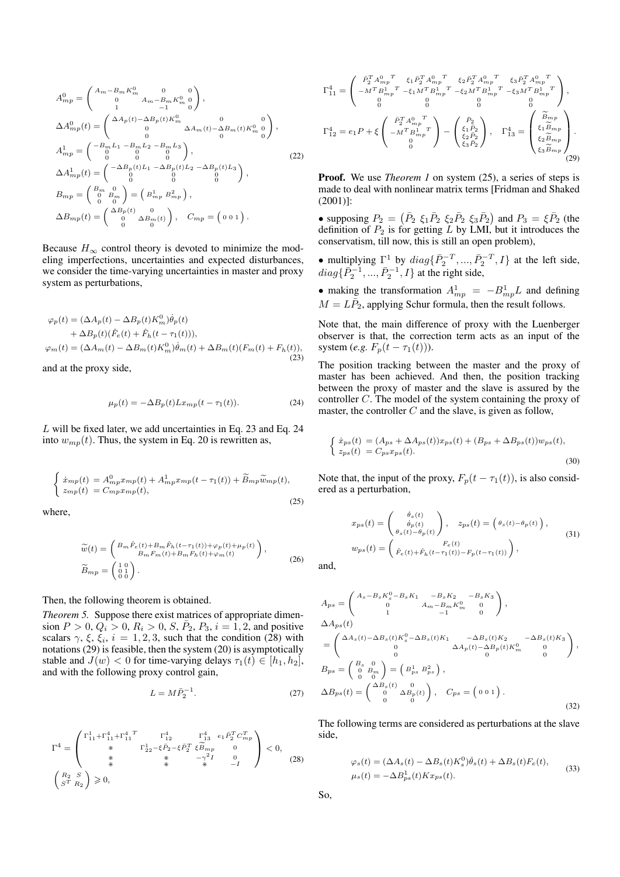$$
A_{mp}^{0} = \begin{pmatrix} A_m - B_m K_m^0 & 0 & 0 \ 0 & A_m - B_m K_m^0 & 0 \ 1 & -1 & 0 \end{pmatrix},
$$
  
\n
$$
\Delta A_{mp}^{0}(t) = \begin{pmatrix} \Delta A_p(t) - \Delta B_p(t) K_m^0 & 0 \ 0 & \Delta A_m(t) - \Delta B_m(t) K_m^0 & 0 \ 0 & 0 & 0 \end{pmatrix},
$$
  
\n
$$
A_{mp}^{1} = \begin{pmatrix} -B_m L_1 - B_m L_2 - B_m L_3 \ 0 & 0 & 0 \ 0 & 0 & 0 \ 0 & 0 & 0 \end{pmatrix},
$$
  
\n
$$
\Delta A_{mp}^{1}(t) = \begin{pmatrix} -\Delta B_p(t) L_1 - \Delta B_p(t) L_2 - \Delta B_p(t) L_3 \ 0 & 0 & 0 \ 0 & 0 & 0 \end{pmatrix},
$$
  
\n
$$
B_{mp} = \begin{pmatrix} B_m & 0 \ 0 & B_m \ 0 & 0 \end{pmatrix} = \begin{pmatrix} B_{mp} B_{mp}^2 \end{pmatrix},
$$
  
\n
$$
\Delta B_{mp}(t) = \begin{pmatrix} \Delta B_p(t) & 0 \ 0 & \Delta B_m(t) \end{pmatrix}, \quad C_{mp} = \begin{pmatrix} 0 & 0 & 1 \end{pmatrix}.
$$

Because  $H_{\infty}$  control theory is devoted to minimize the modeling imperfections, uncertainties and expected disturbances, we consider the time-varying uncertainties in master and proxy system as perturbations,

$$
\varphi_p(t) = (\Delta A_p(t) - \Delta B_p(t) K_m^0) \dot{\theta}_p(t)
$$
  
+ 
$$
\Delta B_p(t) (\hat{F}_e(t) + \hat{F}_h(t - \tau_1(t))),
$$
  

$$
\varphi_m(t) = (\Delta A_m(t) - \Delta B_m(t) K_m^0) \dot{\theta}_m(t) + \Delta B_m(t) (F_m(t) + F_h(t)),
$$
  
(23)

and at the proxy side,

$$
\mu_p(t) = -\Delta B_p(t) L x_{mp}(t - \tau_1(t)).
$$
\n(24)

L will be fixed later, we add uncertainties in Eq. 23 and Eq. 24 into  $w_{mp}(t)$ . Thus, the system in Eq. 20 is rewritten as,

$$
\begin{cases}\n\dot{x}_{mp}(t) = A_{mp}^0 x_{mp}(t) + A_{mp}^1 x_{mp}(t - \tau_1(t)) + \widetilde{B}_{mp}\widetilde{w}_{mp}(t), \\
z_{mp}(t) = C_{mp}x_{mp}(t),\n\end{cases} \tag{25}
$$

where,

$$
\widetilde{w}(t) = \begin{pmatrix} B_m \hat{F}_e(t) + B_m \hat{F}_h(t - \tau_1(t)) + \varphi_p(t) + \mu_p(t) \\ B_m F_m(t) + B_m F_h(t) + \varphi_m(t) \end{pmatrix},
$$
\n
$$
\widetilde{B}_{mp} = \begin{pmatrix} 1 & 0 \\ 0 & 1 \\ 0 & 0 \end{pmatrix}.
$$
\n(26)

Then, the following theorem is obtained.

*Theorem 5.* Suppose there exist matrices of appropriate dimension  $P > 0$ ,  $Q_i > 0$ ,  $R_i > 0$ ,  $S$ ,  $\bar{P}_2$ ,  $P_3$ ,  $i = 1, 2$ , and positive scalars  $\gamma$ ,  $\xi$ ,  $\xi_i$ ,  $i = 1, 2, 3$ , such that the condition (28) with notations (29) is feasible, then the system (20) is asymptotically stable and  $J(w) < 0$  for time-varying delays  $\tau_1(t) \in [h_1, h_2]$ , and with the following proxy control gain,

$$
L = M\bar{P}_2^{-1}.
$$
 (27)

$$
\Gamma^{4} = \begin{pmatrix}\n\Gamma_{11}^{1} + \Gamma_{11}^{4} + \Gamma_{11}^{4} & \Gamma_{12}^{4} & \Gamma_{13}^{4} & e_{1}\bar{P}_{2}^{T}C_{mp}^{T} \\
\ast & \Gamma_{22}^{1} - \xi\bar{P}_{2} - \xi\bar{P}_{2}^{T}\xi\widetilde{B}_{mp} & 0 \\
\ast & \ast & -\gamma^{2}I & 0 \\
\ast & \ast & \ast & -I\n\end{pmatrix} < 0, \tag{28}
$$
\n
$$
\begin{pmatrix}\nR_{2} & S \\
S^{T} & R_{2}\n\end{pmatrix} \geq 0,
$$

$$
\Gamma_{11}^{4} = \begin{pmatrix}\n\bar{P}_{2}^{T} A_{mp}^{0 \ T} & \xi_{1} \bar{P}_{2}^{T} A_{mp}^{0 \ T} & \xi_{2} \bar{P}_{2}^{T} A_{mp}^{0 \ T} & \xi_{3} \bar{P}_{2}^{T} A_{mp}^{0 \ T} \\
-M^{T} B_{mp}^{1 \ T} - \xi_{1} M^{T} B_{mp}^{1 \ T} - \xi_{2} M^{T} B_{mp}^{1 \ T} - \xi_{3} M^{T} B_{mp}^{1 \ T} \\
0 & 0 & 0 & 0 \\
0 & 0 & 0 & 0 \\
0 & 0 & 0 & 0\n\end{pmatrix},
$$
\n
$$
\Gamma_{12}^{4} = e_{1} P + \xi \begin{pmatrix}\n\bar{P}_{2}^{T} A_{mp}^{0 \ T} \\
-M^{T} B_{mp}^{1 \ T} \\
0 \\
0\n\end{pmatrix} - \begin{pmatrix}\n\bar{P}_{2} \\
\xi_{1} \bar{P}_{2} \\
\xi_{2} \bar{P}_{2} \\
\xi_{3} \bar{P}_{2}\n\end{pmatrix}, \quad \Gamma_{13}^{4} = \begin{pmatrix}\n\tilde{B}_{mp} \\
\xi_{1} \tilde{B}_{mp} \\
\xi_{2} \tilde{B}_{mp} \\
\xi_{3} \tilde{B}_{mp}\n\end{pmatrix}.
$$
\n(29)

**Proof.** We use *Theorem 1* on system (25), a series of steps is made to deal with nonlinear matrix terms [Fridman and Shaked (2001)]:

• supposing  $P_2 =$  $(\bar{P}_2 \xi_1 \bar{P}_2 \xi_2 \bar{P}_2 \xi_3 \bar{P}_2)$ ) and  $P_3 = \xi \overline{P}_2$  (the definition of  $P_2$  is for getting L by LMI, but it introduces the conservatism, till now, this is still an open problem),

• multiplying  $\Gamma^1$  by  $diag\{\bar{P}_2^{-T},...,\bar{P}_2^{-T},I\}$  at the left side,  $diag\{\bar{P}_2^{-1},...,\bar{P}_2^{-1},I\}$  at the right side,

• making the transformation  $A_{mp}^1 = -B_{mp}^1 L$  and defining  $M = L\bar{P}_2$ , applying Schur formula, then the result follows.

Note that, the main difference of proxy with the Luenberger observer is that, the correction term acts as an input of the system (*e.g.*  $F_p(t - \tau_1(t))$ ).

The position tracking between the master and the proxy of master has been achieved. And then, the position tracking between the proxy of master and the slave is assured by the controller C. The model of the system containing the proxy of master, the controller  $C$  and the slave, is given as follow,

$$
\begin{cases}\n\dot{x}_{ps}(t) = (A_{ps} + \Delta A_{ps}(t))x_{ps}(t) + (B_{ps} + \Delta B_{ps}(t))w_{ps}(t),\\ \n z_{ps}(t) = C_{ps}x_{ps}(t).\n\end{cases} \tag{30}
$$

Note that, the input of the proxy,  $F_p(t - \tau_1(t))$ , is also considered as a perturbation,

$$
x_{ps}(t) = \begin{pmatrix} \dot{\theta}_s(t) \\ \dot{\theta}_p(t) \\ \theta_s(t) - \theta_p(t) \end{pmatrix}, \quad z_{ps}(t) = \begin{pmatrix} \theta_s(t) - \theta_p(t) \end{pmatrix},
$$
  
\n
$$
w_{ps}(t) = \begin{pmatrix} F_e(t) \\ \hat{F}_e(t) + \hat{F}_h(t - \tau_1(t)) - F_p(t - \tau_1(t)) \end{pmatrix},
$$
\n(31)

and,

$$
A_{ps} = \begin{pmatrix} A_s - B_s K_s^0 - B_s K_1 & -B_s K_2 & -B_s K_3 \ 0 & A_m - B_m K_m^0 & 0 \ 1 & -1 & 0 \end{pmatrix},
$$
  
\n
$$
\Delta A_{ps}(t)
$$
  
\n
$$
= \begin{pmatrix} \Delta A_s(t) - \Delta B_s(t) K_s^0 - \Delta B_s(t) K_1 & -\Delta B_s(t) K_2 & -\Delta B_s(t) K_3 \ 0 & \Delta A_p(t) - \Delta B_p(t) K_m^0 & 0 \ 0 & 0 & 0 \end{pmatrix},
$$
  
\n
$$
B_{ps} = \begin{pmatrix} B_s & 0 \\ 0 & B_m \\ 0 & 0 \end{pmatrix} = \begin{pmatrix} B_{ps}^1 & B_{ps}^2 \\ B_{ps}^2 & 0 \end{pmatrix},
$$
  
\n
$$
\Delta B_{ps}(t) = \begin{pmatrix} \Delta B_s(t) & 0 \\ 0 & \Delta B_p(t) \end{pmatrix}, \quad C_{ps} = \begin{pmatrix} 0 & 0 & 1 \end{pmatrix}.
$$
  
\n(32)

The following terms are considered as perturbations at the slave side,

$$
\varphi_s(t) = (\Delta A_s(t) - \Delta B_s(t) K_s^0) \dot{\theta}_s(t) + \Delta B_s(t) F_e(t),
$$
  

$$
\mu_s(t) = -\Delta B_{ps}^1(t) K x_{ps}(t).
$$
 (33)

So,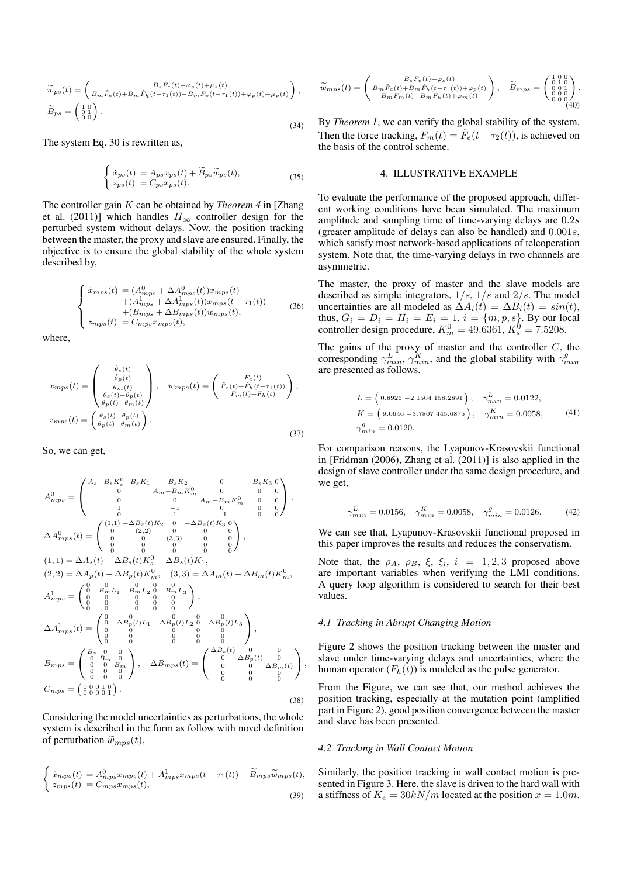$$
\widetilde{w}_{ps}(t) = \begin{pmatrix} B_s F_e(t) + \varphi_s(t) + \mu_s(t) \\ B_m \hat{F}_e(t) + B_m \hat{F}_h(t - \tau_1(t)) - B_m F_p(t - \tau_1(t)) + \varphi_p(t) + \mu_p(t) \end{pmatrix},
$$
\n
$$
\widetilde{B}_{ps} = \begin{pmatrix} 1 & 0 \\ 0 & 1 \\ 0 & 0 \end{pmatrix}.
$$
\n(34)

The system Eq. 30 is rewritten as,

$$
\begin{cases} \n\dot{x}_{ps}(t) = A_{ps}x_{ps}(t) + \widetilde{B}_{ps}\widetilde{w}_{ps}(t),\\ \n z_{ps}(t) = C_{ps}x_{ps}(t). \n\end{cases} \tag{35}
$$

The controller gain K can be obtained by *Theorem 4* in [Zhang et al. (2011)] which handles  $H_{\infty}$  controller design for the perturbed system without delays. Now, the position tracking between the master, the proxy and slave are ensured. Finally, the objective is to ensure the global stability of the whole system described by,

$$
\begin{cases}\n\dot{x}_{mps}(t) = (A_{mps}^0 + \Delta A_{mps}^0(t))x_{mps}(t) \\
+ (A_{mps}^1 + \Delta A_{mps}^1(t))x_{mps}(t - \tau_1(t)) \\
+ (B_{mps} + \Delta B_{mps}(t))w_{mps}(t), \\
z_{mps}(t) = C_{mps}x_{mps}(t),\n\end{cases} \tag{36}
$$

where,

$$
x_{mps}(t) = \begin{pmatrix} \dot{\theta}_s(t) \\ \dot{\theta}_p(t) \\ \dot{\theta}_m(t) \\ \theta_s(t) - \theta_p(t) \\ \theta_p(t) - \theta_m(t) \end{pmatrix}, \quad w_{mps}(t) = \begin{pmatrix} F_e(t) \\ \hat{F}_e(t) + \hat{F}_h(t - \tau_1(t)) \\ F_m(t) + F_h(t) \end{pmatrix},
$$

$$
z_{mps}(t) = \begin{pmatrix} \theta_s(t) - \theta_p(t) \\ \theta_p(t) - \theta_m(t) \end{pmatrix}.
$$
(37)

So, we can get,

$$
A_{mps}^{0} = \begin{pmatrix} A_{s} - B_{s} K_{s}^{0} - B_{s} K_{1} & -B_{s} K_{2} & 0 & -B_{s} K_{3} & 0 \\ 0 & A_{m} - B_{m} K_{m}^{0} & 0 & 0 & 0 \\ 0 & 0 & A_{m} - B_{m} K_{m}^{0} & 0 & 0 \\ 0 & 0 & 1 & -1 & 0 & 0 & 0 \\ 0 & 0 & (2,2) & 0 & 0 & 0 & 0 \\ 0 & 0 & (3,3) & 0 & 0 & 0 & 0 \\ 0 & 0 & 0 & 0 & 0 & 0 & 0 \\ 0 & 0 & 0 & 0 & 0 & 0 & 0 \\ 0 & 0 & 0 & 0 & 0 & 0 & 0 \end{pmatrix},
$$
  
\n
$$
(1,1) = \Delta A_{s}(t) - \Delta B_{s}(t) K_{s}^{0} - \Delta B_{s}(t) K_{1},
$$
  
\n
$$
(2,2) = \Delta A_{p}(t) - \Delta B_{p}(t) K_{m}^{0}, (3,3) = \Delta A_{m}(t) - \Delta B_{m}(t) K_{m}^{0},
$$
  
\n
$$
A_{mps}^{1} = \begin{pmatrix} 0 & 0 & 0 & 0 & 0 & 0 \\ 0 & -B_{m} L_{1} & -B_{m} L_{2} & 0 - B_{m} L_{3} \\ 0 & 0 & 0 & 0 & 0 \\ 0 & 0 & 0 & 0 & 0 \\ 0 & 0 & 0 & 0 & 0 \\ 0 & 0 & 0 & 0 & 0 \\ 0 & 0 & 0 & 0 & 0 \end{pmatrix},
$$
  
\n
$$
\Delta A_{mps}^{1}(t) = \begin{pmatrix} 0 & 0 & 0 & 0 & 0 & 0 \\ 0 & -\Delta B_{p}(t) L_{1} & -\Delta B_{p}(t) L_{2} & 0 - \Delta B_{p}(t) L_{3} \\ 0 & 0 & 0 & 0 & 0 \\ 0 & 0 & 0 & 0 & 0 \\ 0 & 0 & 0 & 0 & 0 \\ 0 & 0 & 0 & 0 & 0 \end{pmatrix},
$$
  
\n
$$
B_{mps} = \begin{pmatrix} B_{s} & 0 & 0 & 0 & 0 \\ 0 & B_{m} & 0 &
$$

Considering the model uncertainties as perturbations, the whole system is described in the form as follow with novel definition of perturbation  $\widetilde{w}_{mps}(t)$ ,

$$
\begin{cases}\n\dot{x}_{mps}(t) = A_{mps}^0 x_{mps}(t) + A_{mps}^1 x_{mps}(t - \tau_1(t)) + \widetilde{B}_{mps} \widetilde{w}_{mps}(t), \\
z_{mps}(t) = C_{mps} x_{mps}(t),\n\end{cases} \tag{39}
$$

$$
\widetilde{w}_{mps}(t) = \begin{pmatrix} B_s F_e(t) + \varphi_s(t) \\ B_m \hat{F}_e(t) + B_m \hat{F}_h(t - \tau_1(t)) + \varphi_p(t) \\ B_m F_m(t) + B_m F_h(t) + \varphi_m(t) \end{pmatrix}, \quad \widetilde{B}_{mps} = \begin{pmatrix} 1 & 0 & 0 \\ 0 & 1 & 0 \\ 0 & 0 & 0 \\ 0 & 0 & 0 \\ 0 & 0 & 0 \end{pmatrix}.
$$

By *Theorem 1*, we can verify the global stability of the system. Then the force tracking,  $F_m(t) = \hat{F}_e(t - \tau_2(t))$ , is achieved on the basis of the control scheme.

#### 4. ILLUSTRATIVE EXAMPLE

To evaluate the performance of the proposed approach, different working conditions have been simulated. The maximum amplitude and sampling time of time-varying delays are 0.2s (greater amplitude of delays can also be handled) and 0.001s, which satisfy most network-based applications of teleoperation system. Note that, the time-varying delays in two channels are asymmetric.

The master, the proxy of master and the slave models are described as simple integrators,  $1/s$ ,  $1/s$  and  $2/s$ . The model uncertainties are all modeled as  $\Delta A_i(t) = \Delta B_i(t) = \sin(t)$ , thus,  $G_i = D_i = H_i = E_i = 1, i = \{m, p, s\}$ . By our local controller design procedure,  $K_m^0 = 49.6361, K_s^0 = 7.5208$ .

The gains of the proxy of master and the controller  $C$ , the corresponding  $\gamma_{min}^L$ ,  $\gamma_{min}^K$ , and the global stability with  $\gamma_{min}^g$ are presented as follows,

$$
L = (0.8926 - 2.1504 158.2891), \quad \gamma_{min}^{L} = 0.0122,
$$
  
\n
$$
K = (9.0646 - 3.7807 445.6875), \quad \gamma_{min}^{K} = 0.0058,
$$
 (41)  
\n
$$
\gamma_{min}^{g} = 0.0120.
$$

For comparison reasons, the Lyapunov-Krasovskii functional in [Fridman (2006), Zhang et al. (2011)] is also applied in the design of slave controller under the same design procedure, and we get,

$$
\gamma_{min}^L = 0.0156, \quad \gamma_{min}^K = 0.0058, \quad \gamma_{min}^g = 0.0126. \tag{42}
$$

We can see that, Lyapunov-Krasovskii functional proposed in this paper improves the results and reduces the conservatism.

Note that, the  $\rho_A$ ,  $\rho_B$ ,  $\xi$ ,  $\xi_i$ ,  $i = 1, 2, 3$  proposed above are important variables when verifying the LMI conditions. A query loop algorithm is considered to search for their best values.

### *4.1 Tracking in Abrupt Changing Motion*

Figure 2 shows the position tracking between the master and slave under time-varying delays and uncertainties, where the human operator  $(F_h(t))$  is modeled as the pulse generator.

From the Figure, we can see that, our method achieves the position tracking, especially at the mutation point (amplified part in Figure 2), good position convergence between the master and slave has been presented.

#### *4.2 Tracking in Wall Contact Motion*

,

Similarly, the position tracking in wall contact motion is presented in Figure 3. Here, the slave is driven to the hard wall with a stiffness of  $K_e = 30kN/m$  located at the position  $x = 1.0m$ .